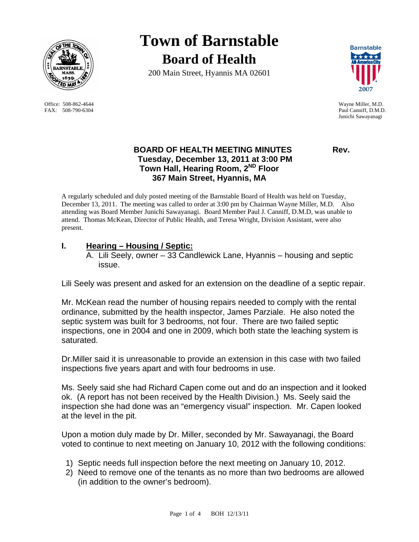

Office: 508-862-4644 Wayne Miller, M.D. FAX: 508-790-6304 Paul Canniff, D.M.D.

# **Town of Barnstable Board of Health**

200 Main Street, Hyannis MA 02601



Junichi Sawayanagi

# **BOARD OF HEALTH MEETING MINUTES Rev. Tuesday, December 13, 2011 at 3:00 PM Town Hall, Hearing Room, 2ND Floor 367 Main Street, Hyannis, MA**

A regularly scheduled and duly posted meeting of the Barnstable Board of Health was held on Tuesday, December 13, 2011. The meeting was called to order at 3:00 pm by Chairman Wayne Miller, M.D. Also attending was Board Member Junichi Sawayanagi. Board Member Paul J. Canniff, D.M.D, was unable to attend. Thomas McKean, Director of Public Health, and Teresa Wright, Division Assistant, were also present.

# **I. Hearing – Housing / Septic:**

A. Lili Seely, owner – 33 Candlewick Lane, Hyannis – housing and septic issue.

Lili Seely was present and asked for an extension on the deadline of a septic repair.

Mr. McKean read the number of housing repairs needed to comply with the rental ordinance, submitted by the health inspector, James Parziale. He also noted the septic system was built for 3 bedrooms, not four. There are two failed septic inspections, one in 2004 and one in 2009, which both state the leaching system is saturated.

Dr.Miller said it is unreasonable to provide an extension in this case with two failed inspections five years apart and with four bedrooms in use.

Ms. Seely said she had Richard Capen come out and do an inspection and it looked ok. (A report has not been received by the Health Division.) Ms. Seely said the inspection she had done was an "emergency visual" inspection. Mr. Capen looked at the level in the pit.

Upon a motion duly made by Dr. Miller, seconded by Mr. Sawayanagi, the Board voted to continue to next meeting on January 10, 2012 with the following conditions:

- 1) Septic needs full inspection before the next meeting on January 10, 2012.
- 2) Need to remove one of the tenants as no more than two bedrooms are allowed (in addition to the owner's bedroom).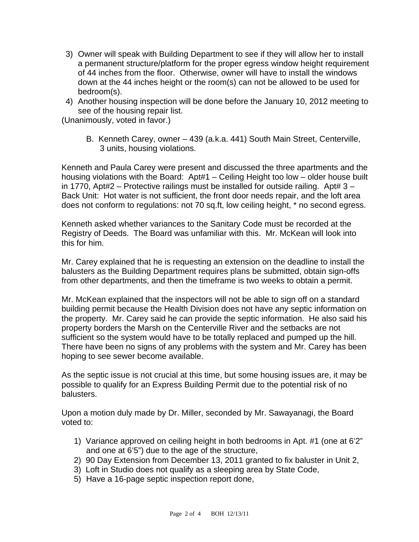- 3) Owner will speak with Building Department to see if they will allow her to install a permanent structure/platform for the proper egress window height requirement of 44 inches from the floor. Otherwise, owner will have to install the windows down at the 44 inches height or the room(s) can not be allowed to be used for bedroom(s).
- 4) Another housing inspection will be done before the January 10, 2012 meeting to see of the housing repair list.

(Unanimously, voted in favor.)

B. Kenneth Carey, owner – 439 (a.k.a. 441) South Main Street, Centerville, 3 units, housing violations.

Kenneth and Paula Carey were present and discussed the three apartments and the housing violations with the Board: Apt#1 – Ceiling Height too low – older house built in 1770, Apt#2 – Protective railings must be installed for outside railing. Apt#  $3 -$ Back Unit: Hot water is not sufficient, the front door needs repair, and the loft area does not conform to regulations: not 70 sq.ft, low ceiling height, \* no second egress.

Kenneth asked whether variances to the Sanitary Code must be recorded at the Registry of Deeds. The Board was unfamiliar with this. Mr. McKean will look into this for him.

Mr. Carey explained that he is requesting an extension on the deadline to install the balusters as the Building Department requires plans be submitted, obtain sign-offs from other departments, and then the timeframe is two weeks to obtain a permit.

Mr. McKean explained that the inspectors will not be able to sign off on a standard building permit because the Health Division does not have any septic information on the property. Mr. Carey said he can provide the septic information. He also said his property borders the Marsh on the Centerville River and the setbacks are not sufficient so the system would have to be totally replaced and pumped up the hill. There have been no signs of any problems with the system and Mr. Carey has been hoping to see sewer become available.

As the septic issue is not crucial at this time, but some housing issues are, it may be possible to qualify for an Express Building Permit due to the potential risk of no balusters.

Upon a motion duly made by Dr. Miller, seconded by Mr. Sawayanagi, the Board voted to:

- 1) Variance approved on ceiling height in both bedrooms in Apt. #1 (one at 6'2" and one at 6'5") due to the age of the structure,
- 2) 90 Day Extension from December 13, 2011 granted to fix baluster in Unit 2,
- 3) Loft in Studio does not qualify as a sleeping area by State Code,
- 5) Have a 16-page septic inspection report done,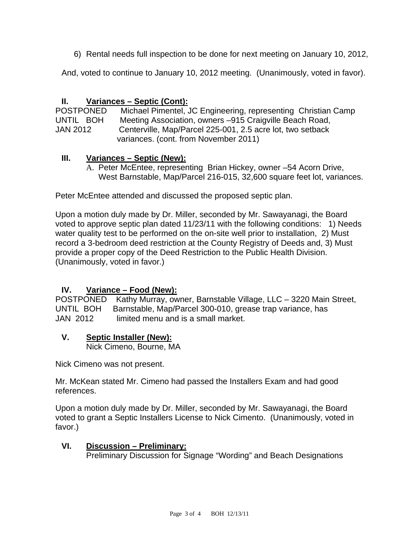6) Rental needs full inspection to be done for next meeting on January 10, 2012,

And, voted to continue to January 10, 2012 meeting. (Unanimously, voted in favor).

# **II. Variances – Septic (Cont):**

| <b>POSTPONED</b> | Michael Pimentel, JC Engineering, representing Christian Camp |
|------------------|---------------------------------------------------------------|
| UNTIL BOH        | Meeting Association, owners -915 Craigville Beach Road,       |
| <b>JAN 2012</b>  | Centerville, Map/Parcel 225-001, 2.5 acre lot, two setback    |
|                  | variances. (cont. from November 2011)                         |

#### **III. Variances – Septic (New):**

A. Peter McEntee, representing Brian Hickey, owner –54 Acorn Drive, West Barnstable, Map/Parcel 216-015, 32,600 square feet lot, variances.

Peter McEntee attended and discussed the proposed septic plan.

Upon a motion duly made by Dr. Miller, seconded by Mr. Sawayanagi, the Board voted to approve septic plan dated 11/23/11 with the following conditions: 1) Needs water quality test to be performed on the on-site well prior to installation, 2) Must record a 3-bedroom deed restriction at the County Registry of Deeds and, 3) Must provide a proper copy of the Deed Restriction to the Public Health Division. (Unanimously, voted in favor.)

# **IV. Variance – Food (New):**

POSTPONED Kathy Murray, owner, Barnstable Village, LLC – 3220 Main Street, UNTIL BOH Barnstable, Map/Parcel 300-010, grease trap variance, has JAN 2012 limited menu and is a small market.

#### **V. Septic Installer (New):**

Nick Cimeno, Bourne, MA

Nick Cimeno was not present.

Mr. McKean stated Mr. Cimeno had passed the Installers Exam and had good references.

Upon a motion duly made by Dr. Miller, seconded by Mr. Sawayanagi, the Board voted to grant a Septic Installers License to Nick Cimento. (Unanimously, voted in favor.)

# **VI. Discussion – Preliminary:**

Preliminary Discussion for Signage "Wording" and Beach Designations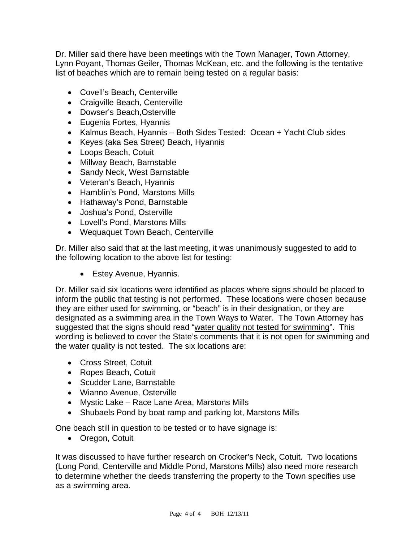Dr. Miller said there have been meetings with the Town Manager, Town Attorney, Lynn Poyant, Thomas Geiler, Thomas McKean, etc. and the following is the tentative list of beaches which are to remain being tested on a regular basis:

- Covell's Beach, Centerville
- Craigville Beach, Centerville
- Dowser's Beach,Osterville
- Eugenia Fortes, Hyannis
- Kalmus Beach, Hyannis Both Sides Tested: Ocean + Yacht Club sides
- Keyes (aka Sea Street) Beach, Hyannis
- Loops Beach, Cotuit
- Millway Beach, Barnstable
- Sandy Neck, West Barnstable
- Veteran's Beach, Hyannis
- Hamblin's Pond, Marstons Mills
- Hathaway's Pond, Barnstable
- Joshua's Pond, Osterville
- Lovell's Pond, Marstons Mills
- Wequaquet Town Beach, Centerville

Dr. Miller also said that at the last meeting, it was unanimously suggested to add to the following location to the above list for testing:

**Estey Avenue, Hyannis.** 

Dr. Miller said six locations were identified as places where signs should be placed to inform the public that testing is not performed. These locations were chosen because they are either used for swimming, or "beach" is in their designation, or they are designated as a swimming area in the Town Ways to Water. The Town Attorney has suggested that the signs should read "water quality not tested for swimming". This wording is believed to cover the State's comments that it is not open for swimming and the water quality is not tested. The six locations are:

- Cross Street, Cotuit
- Ropes Beach, Cotuit
- Scudder Lane, Barnstable
- Wianno Avenue, Osterville
- Mystic Lake Race Lane Area, Marstons Mills
- Shubaels Pond by boat ramp and parking lot, Marstons Mills

One beach still in question to be tested or to have signage is:

Oregon, Cotuit

It was discussed to have further research on Crocker's Neck, Cotuit. Two locations (Long Pond, Centerville and Middle Pond, Marstons Mills) also need more research to determine whether the deeds transferring the property to the Town specifies use as a swimming area.